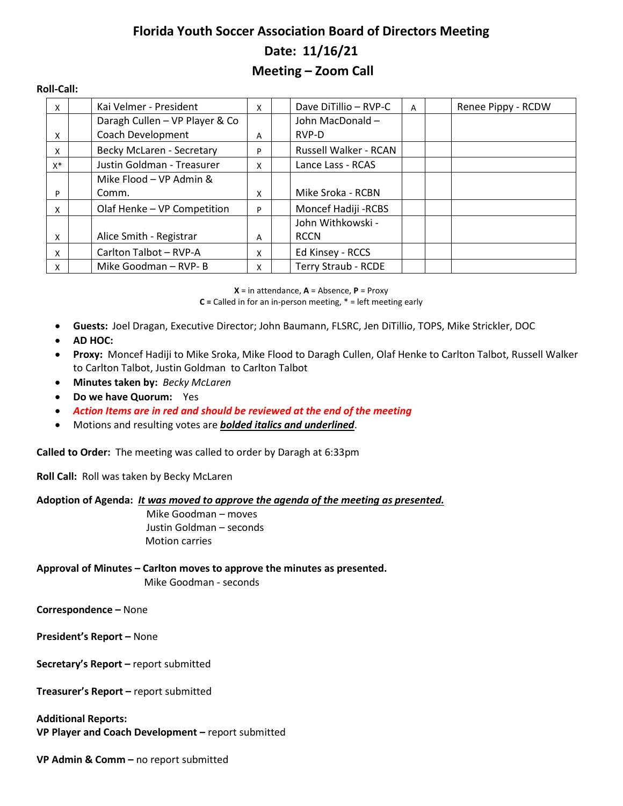# **Florida Youth Soccer Association Board of Directors Meeting Date: 11/16/21 Meeting – Zoom Call**

#### **Roll-Call:**

| X        | Kai Velmer - President         | X | Dave DiTillio - RVP-C      | A | Renee Pippy - RCDW |
|----------|--------------------------------|---|----------------------------|---|--------------------|
|          | Daragh Cullen - VP Player & Co |   | John MacDonald -           |   |                    |
| X        | Coach Development              | A | RVP-D                      |   |                    |
| X        | Becky McLaren - Secretary      | P | Russell Walker - RCAN      |   |                    |
| $X^*$    | Justin Goldman - Treasurer     | X | Lance Lass - RCAS          |   |                    |
|          | Mike Flood - VP Admin &        |   |                            |   |                    |
| P        | Comm.                          | X | Mike Sroka - RCBN          |   |                    |
| X        | Olaf Henke - VP Competition    | P | Moncef Hadiji - RCBS       |   |                    |
|          |                                |   | John Withkowski -          |   |                    |
| X        | Alice Smith - Registrar        | A | <b>RCCN</b>                |   |                    |
| X        | Carlton Talbot - RVP-A         | X | Ed Kinsey - RCCS           |   |                    |
| $\times$ | Mike Goodman - RVP- B          | x | <b>Terry Straub - RCDE</b> |   |                    |

**X** = in attendance, **A** = Absence, **P** = Proxy

**C =** Called in for an in-person meeting, \* = left meeting early

- **Guests:** Joel Dragan, Executive Director; John Baumann, FLSRC, Jen DiTillio, TOPS, Mike Strickler, DOC
- **AD HOC:**
- **Proxy:** Moncef Hadiji to Mike Sroka, Mike Flood to Daragh Cullen, Olaf Henke to Carlton Talbot, Russell Walker to Carlton Talbot, Justin Goldman to Carlton Talbot
- **Minutes taken by:** *Becky McLaren*
- **Do we have Quorum:** Yes
- *Action Items are in red and should be reviewed at the end of the meeting*
- Motions and resulting votes are *bolded italics and underlined*.

**Called to Order:** The meeting was called to order by Daragh at 6:33pm

**Roll Call:** Roll was taken by Becky McLaren

#### **Adoption of Agenda:** *It was moved to approve the agenda of the meeting as presented.*

Mike Goodman – moves Justin Goldman – seconds Motion carries

**Approval of Minutes – Carlton moves to approve the minutes as presented.** Mike Goodman - seconds

**Correspondence –** None

**President's Report –** None

**Secretary's Report –** report submitted

**Treasurer's Report –** report submitted

**Additional Reports: VP Player and Coach Development –** report submitted

**VP Admin & Comm –** no report submitted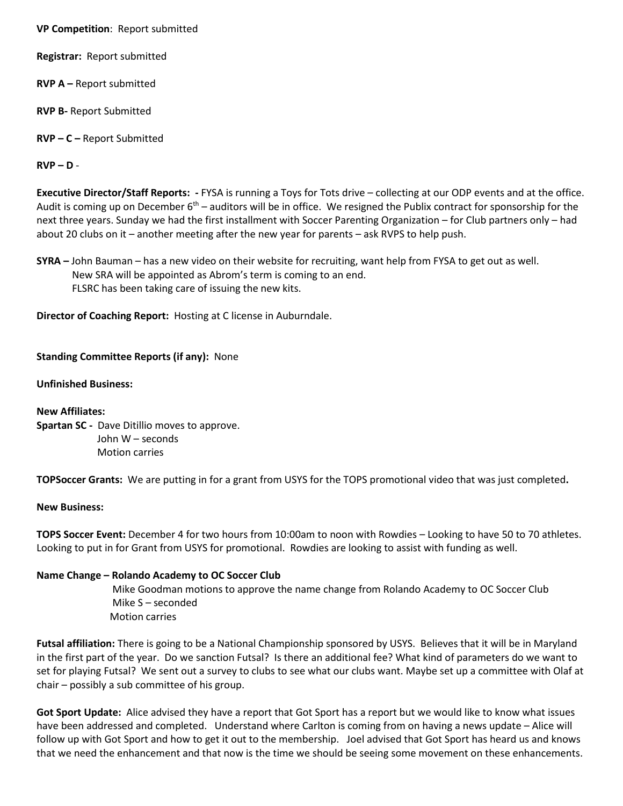**VP Competition**: Report submitted

**Registrar:** Report submitted

**RVP A –** Report submitted

**RVP B-** Report Submitted

**RVP – C –** Report Submitted

**RVP – D** -

**Executive Director/Staff Reports: -** FYSA is running a Toys for Tots drive – collecting at our ODP events and at the office. Audit is coming up on December  $6<sup>th</sup>$  – auditors will be in office. We resigned the Publix contract for sponsorship for the next three years. Sunday we had the first installment with Soccer Parenting Organization – for Club partners only – had about 20 clubs on it – another meeting after the new year for parents – ask RVPS to help push.

**SYRA –** John Bauman – has a new video on their website for recruiting, want help from FYSA to get out as well. New SRA will be appointed as Abrom's term is coming to an end. FLSRC has been taking care of issuing the new kits.

**Director of Coaching Report:** Hosting at C license in Auburndale.

## **Standing Committee Reports (if any):** None

**Unfinished Business:**

**New Affiliates: Spartan SC -** Dave Ditillio moves to approve. John W – seconds Motion carries

**TOPSoccer Grants:** We are putting in for a grant from USYS for the TOPS promotional video that was just completed**.**

**New Business:**

**TOPS Soccer Event:** December 4 for two hours from 10:00am to noon with Rowdies – Looking to have 50 to 70 athletes. Looking to put in for Grant from USYS for promotional. Rowdies are looking to assist with funding as well.

### **Name Change – Rolando Academy to OC Soccer Club**

 Mike Goodman motions to approve the name change from Rolando Academy to OC Soccer Club Mike S – seconded Motion carries

**Futsal affiliation:** There is going to be a National Championship sponsored by USYS. Believes that it will be in Maryland in the first part of the year. Do we sanction Futsal? Is there an additional fee? What kind of parameters do we want to set for playing Futsal? We sent out a survey to clubs to see what our clubs want. Maybe set up a committee with Olaf at chair – possibly a sub committee of his group.

**Got Sport Update:** Alice advised they have a report that Got Sport has a report but we would like to know what issues have been addressed and completed. Understand where Carlton is coming from on having a news update – Alice will follow up with Got Sport and how to get it out to the membership. Joel advised that Got Sport has heard us and knows that we need the enhancement and that now is the time we should be seeing some movement on these enhancements.